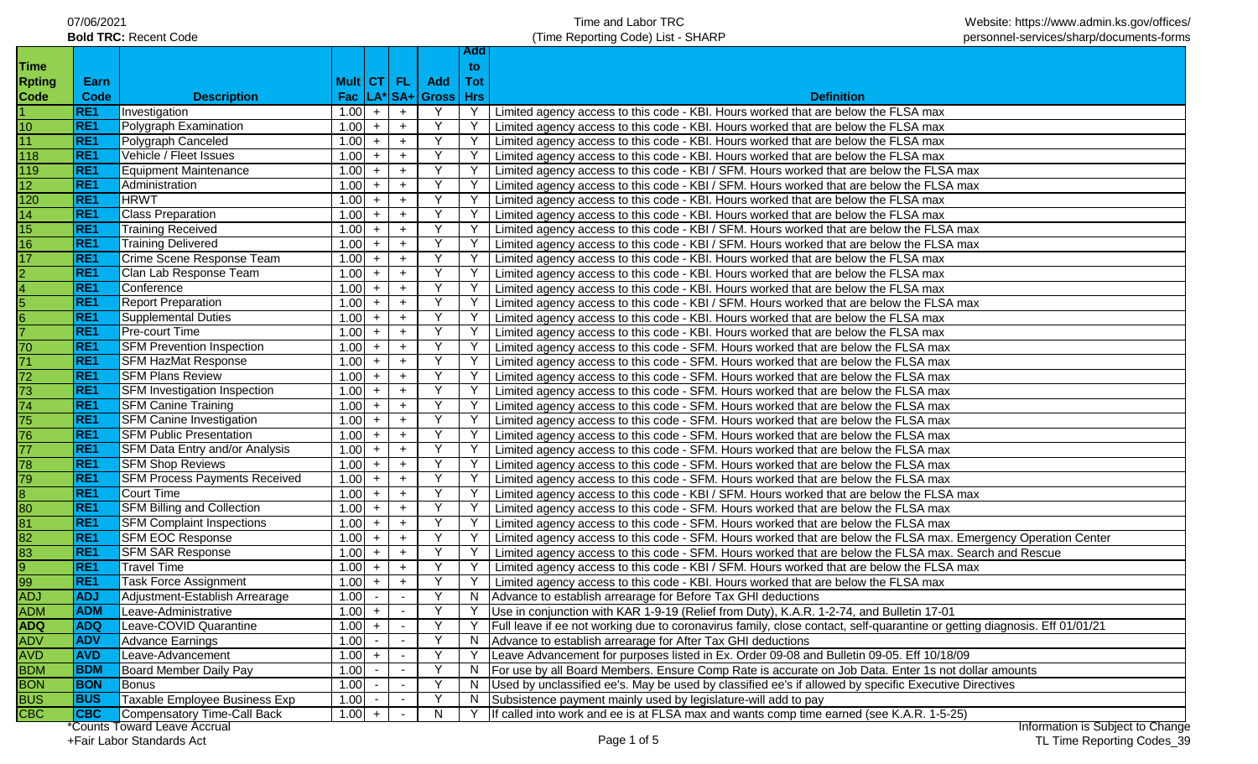| 07/06/2021                   |
|------------------------------|
| <b>Bold TRC: Recent Code</b> |

**Add** 

| <b>Time</b>             |                 |                                                           |              |            |        |                         | to. |                                                                                                                                                                          |
|-------------------------|-----------------|-----------------------------------------------------------|--------------|------------|--------|-------------------------|-----|--------------------------------------------------------------------------------------------------------------------------------------------------------------------------|
|                         | Earn            |                                                           |              |            |        | Mult CT FL Add          | Tot |                                                                                                                                                                          |
| <b>Rpting</b><br>Code   | Code            | <b>Description</b>                                        |              |            |        | Fac  LA* SA+ Gross  Hrs |     | <b>Definition</b>                                                                                                                                                        |
|                         | RE1             | Investigation                                             | $1.00 +$     |            | $+$    | Y                       |     | Y   Limited agency access to this code - KBI. Hours worked that are below the FLSA max                                                                                   |
| 10                      | RE <sub>1</sub> | Polygraph Examination                                     | $1.00 +$     |            | $+$    | Y                       |     | Limited agency access to this code - KBI. Hours worked that are below the FLSA max                                                                                       |
| 11                      | RE1             | Polygraph Canceled                                        | $1.00 +$     |            | $+$    | Y                       |     | Limited agency access to this code - KBI. Hours worked that are below the FLSA max                                                                                       |
| 118                     | RE <sub>1</sub> | Vehicle / Fleet Issues                                    | 1.00         | $+$        | $+$    | Y                       | Y   | Limited agency access to this code - KBI. Hours worked that are below the FLSA max                                                                                       |
| 119                     | RE1             | <b>Equipment Maintenance</b>                              | 1.00         | $+$        | $+$    |                         | Y   | Limited agency access to this code - KBI / SFM. Hours worked that are below the FLSA max                                                                                 |
| 12 <sub>2</sub>         | RE <sub>1</sub> | Administration                                            | 1.00         | $+$        | $+$    |                         | Y   | Limited agency access to this code - KBI / SFM. Hours worked that are below the FLSA max                                                                                 |
| 120                     | RE1             | <b>HRWT</b>                                               | 1.00         | $+$        | $+$    |                         |     | Limited agency access to this code - KBI. Hours worked that are below the FLSA max                                                                                       |
| 14                      | RE1             | <b>Class Preparation</b>                                  | 1.00         | $+$        | $+$    |                         |     | Limited agency access to this code - KBI. Hours worked that are below the FLSA max                                                                                       |
| 15                      | <b>RE1</b>      | <b>Training Received</b>                                  | 1.00         | $+$        | $+$    |                         |     | Limited agency access to this code - KBI / SFM. Hours worked that are below the FLSA max                                                                                 |
| 16                      | RE <sub>1</sub> | <b>Training Delivered</b>                                 | 1.00         | $+$        | $+$    |                         |     | Limited agency access to this code - KBI / SFM. Hours worked that are below the FLSA max                                                                                 |
|                         | RE1             | Crime Scene Response Team                                 |              |            |        |                         |     |                                                                                                                                                                          |
| 17                      | RE <sub>1</sub> | Clan Lab Response Team                                    | 1.00<br>1.00 | $+$<br>$+$ | $+$    |                         |     | Limited agency access to this code - KBI. Hours worked that are below the FLSA max                                                                                       |
| $\overline{2}$<br>4     | RE1             | Conference                                                | 1.00         | $+$        | $+$    |                         |     | Limited agency access to this code - KBI. Hours worked that are below the FLSA max                                                                                       |
|                         | RE <sub>1</sub> | <b>Report Preparation</b>                                 |              |            | $+$    |                         |     | Limited agency access to this code - KBI. Hours worked that are below the FLSA max                                                                                       |
| 5                       | RE <sub>1</sub> |                                                           | 1.00         | $+$        | $+$    |                         |     | Limited agency access to this code - KBI / SFM. Hours worked that are below the FLSA max                                                                                 |
| 6                       | RE <sub>1</sub> | Supplemental Duties                                       | 1.00         | $+$        | $+$    |                         |     | Limited agency access to this code - KBI. Hours worked that are below the FLSA max                                                                                       |
|                         | RE1             | <b>Pre-court Time</b><br><b>SFM Prevention Inspection</b> | 1.00<br>1.00 | $+$        | $+$    |                         |     | Limited agency access to this code - KBI. Hours worked that are below the FLSA max<br>Limited agency access to this code - SFM. Hours worked that are below the FLSA max |
| 70                      |                 |                                                           |              | $+$        | $+$    |                         |     |                                                                                                                                                                          |
| 71                      | RE1             | <b>SFM HazMat Response</b>                                | 1.00         | $+$        | $+$    |                         |     | Limited agency access to this code - SFM. Hours worked that are below the FLSA max                                                                                       |
| 72                      | RE1             | <b>SFM Plans Review</b>                                   | 1.00         | $+$        | $+$    |                         |     | Limited agency access to this code - SFM. Hours worked that are below the FLSA max                                                                                       |
| $\overline{73}$         | RE1             | <b>SFM Investigation Inspection</b>                       | 1.00         | $+$        | $+$    |                         |     | Limited agency access to this code - SFM. Hours worked that are below the FLSA max                                                                                       |
| $\overline{74}$         | RE1             | <b>SFM Canine Training</b>                                | $1.00 +$     |            | $+$    |                         |     | Limited agency access to this code - SFM. Hours worked that are below the FLSA max                                                                                       |
| 75                      | RE1             | <b>SFM Canine Investigation</b>                           | $1.00 +$     |            | $+$    |                         |     | Limited agency access to this code - SFM. Hours worked that are below the FLSA max                                                                                       |
| 76                      | RE1             | <b>SFM Public Presentation</b>                            | $1.00 +$     |            | $+$    |                         |     | Limited agency access to this code - SFM. Hours worked that are below the FLSA max                                                                                       |
| $\overline{77}$         | RE1             | SFM Data Entry and/or Analysis                            | $1.00 +$     |            | $+$    | Y                       |     | Limited agency access to this code - SFM. Hours worked that are below the FLSA max                                                                                       |
| 78                      | RE1             | <b>SFM Shop Reviews</b>                                   | $1.00 +$     |            | $+$    | Y<br>Y                  |     | Limited agency access to this code - SFM. Hours worked that are below the FLSA max                                                                                       |
| 79                      | RE1             | <b>SFM Process Payments Received</b>                      | $1.00 +$     |            | $+$    |                         |     | Limited agency access to this code - SFM. Hours worked that are below the FLSA max                                                                                       |
|                         | RE1             | Court Time                                                | $1.00 +$     |            | $+$    | Y                       | Y.  | Limited agency access to this code - KBI / SFM. Hours worked that are below the FLSA max                                                                                 |
| 80                      | RE1             | <b>SFM Billing and Collection</b>                         | $1.00 +$     |            | $+$    | Y                       |     | Limited agency access to this code - SFM. Hours worked that are below the FLSA max                                                                                       |
| 81                      | RE <sub>1</sub> | <b>SFM Complaint Inspections</b>                          | $1.00 +$     |            | $+$    | Y                       | Y   | Limited agency access to this code - SFM. Hours worked that are below the FLSA max                                                                                       |
| 82                      | RE <sub>1</sub> | <b>SFM EOC Response</b>                                   | $1.00 +$     |            | $+$    | Y                       | Y   | Limited agency access to this code - SFM. Hours worked that are below the FLSA max. Emergency Operation Center                                                           |
| 83                      | <b>RE1</b>      | <b>SFM SAR Response</b>                                   | 1.00         | $+$        | $+$    |                         | Y   | Limited agency access to this code - SFM. Hours worked that are below the FLSA max. Search and Rescue                                                                    |
| 9                       | RE1             | <b>Travel Time</b>                                        | 1.00         | $+$        | $+$    |                         | Y   | Limited agency access to this code - KBI / SFM. Hours worked that are below the FLSA max                                                                                 |
| 99                      | RE1             | Task Force Assignment                                     | 1.00         | $+$        | $+$    |                         | Y.  | Limited agency access to this code - KBI. Hours worked that are below the FLSA max                                                                                       |
| <b>ADJ</b>              | <b>ADJ</b>      | Adjustment-Establish Arrearage                            | 1.00         | $\sim$     | $\sim$ |                         |     | N   Advance to establish arrearage for Before Tax GHI deductions                                                                                                         |
| <b>ADM</b>              | <b>ADM</b>      | Leave-Administrative                                      | $1.00 +$     |            | $\sim$ | $\checkmark$            |     | Y Use in conjunction with KAR 1-9-19 (Relief from Duty), K.A.R. 1-2-74, and Bulletin 17-01                                                                               |
| <b>ADQ</b>              | <b>ADQ</b>      | Leave-COVID Quarantine                                    | 1.00         | $+$        | $\sim$ |                         |     | Full leave if ee not working due to coronavirus family, close contact, self-quarantine or getting diagnosis. Eff 01/01/21                                                |
| ADV                     | <b>ADV</b>      | <b>Advance Earnings</b>                                   | 1.00         | $\sim$     |        |                         | N.  | Advance to establish arrearage for After Tax GHI deductions                                                                                                              |
| <b>AVD</b>              | <b>AVD</b>      | Leave-Advancement                                         | 1.00         | $+$        |        |                         |     | Leave Advancement for purposes listed in Ex. Order 09-08 and Bulletin 09-05. Eff 10/18/09                                                                                |
| <b>BDM</b>              | <b>BDM</b>      | Board Member Daily Pay                                    | 1.00         | $\sim$     |        |                         | N.  | For use by all Board Members. Ensure Comp Rate is accurate on Job Data. Enter 1s not dollar amounts                                                                      |
| <b>BON</b>              | <b>BON</b>      | <b>Bonus</b>                                              | 1.00         | $\sim$     |        |                         |     | Used by unclassified ee's. May be used by classified ee's if allowed by specific Executive Directives                                                                    |
| <b>BUS</b>              | <b>BUS</b>      | Taxable Employee Business Exp                             | 1.00         |            |        |                         | N.  | Subsistence payment mainly used by legislature-will add to pay                                                                                                           |
| $\overline{\text{CBC}}$ | <b>CBC</b>      | <b>Compensatory Time-Call Back</b><br>$\frac{1}{2}$       | $1.00 +$     |            |        | N.                      |     | If called into work and ee is at FLSA max and wants comp time earned (see K.A.R. 1-5-25)<br>Information in Cubinet to Chang                                              |

\*Counts Toward Leave Accrual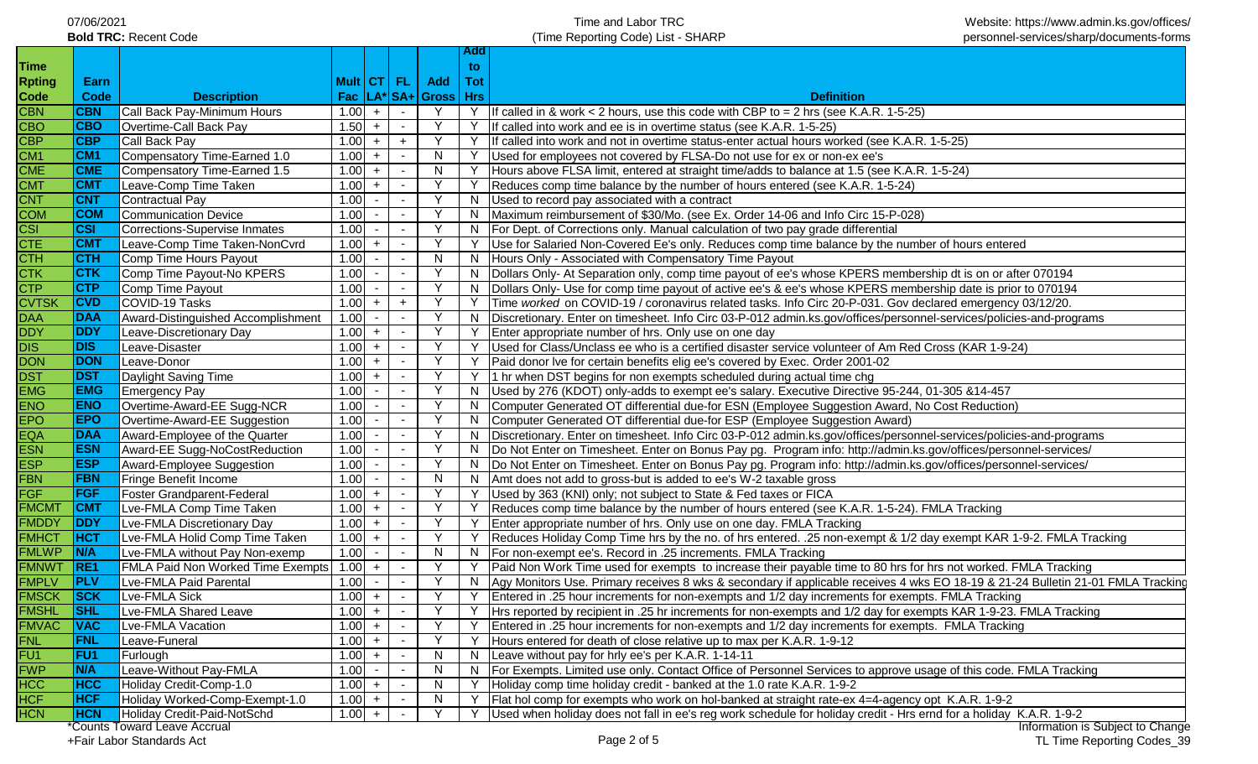| 07/06/2021                   |
|------------------------------|
| <b>Bold TRC: Recent Code</b> |

**Add** 

|                 |                                |                                                                                                                                                                                                                                                                                                                                                                                                                                                                                                                                                                                                                                                                                                                                                                                                                                                                                                      |      |                                                                                                                                                            |                                                          | to:            |                                                                                                                                 |
|-----------------|--------------------------------|------------------------------------------------------------------------------------------------------------------------------------------------------------------------------------------------------------------------------------------------------------------------------------------------------------------------------------------------------------------------------------------------------------------------------------------------------------------------------------------------------------------------------------------------------------------------------------------------------------------------------------------------------------------------------------------------------------------------------------------------------------------------------------------------------------------------------------------------------------------------------------------------------|------|------------------------------------------------------------------------------------------------------------------------------------------------------------|----------------------------------------------------------|----------------|---------------------------------------------------------------------------------------------------------------------------------|
| Earn            |                                |                                                                                                                                                                                                                                                                                                                                                                                                                                                                                                                                                                                                                                                                                                                                                                                                                                                                                                      |      |                                                                                                                                                            | Add                                                      | Tot            |                                                                                                                                 |
| Code            | <b>Description</b>             |                                                                                                                                                                                                                                                                                                                                                                                                                                                                                                                                                                                                                                                                                                                                                                                                                                                                                                      |      |                                                                                                                                                            |                                                          |                | <b>Definition</b>                                                                                                               |
| <b>CBN</b>      |                                |                                                                                                                                                                                                                                                                                                                                                                                                                                                                                                                                                                                                                                                                                                                                                                                                                                                                                                      | $+$  | $\sim$                                                                                                                                                     | Y                                                        | Y              | If called in & work < 2 hours, use this code with CBP to = 2 hrs (see K.A.R. 1-5-25)                                            |
| <b>CBO</b>      |                                | 1.50                                                                                                                                                                                                                                                                                                                                                                                                                                                                                                                                                                                                                                                                                                                                                                                                                                                                                                 | $+$  | $\sim$                                                                                                                                                     |                                                          |                | If called into work and ee is in overtime status (see K.A.R. 1-5-25)                                                            |
| <b>CBP</b>      |                                |                                                                                                                                                                                                                                                                                                                                                                                                                                                                                                                                                                                                                                                                                                                                                                                                                                                                                                      | $+$  | $+$                                                                                                                                                        |                                                          |                | If called into work and not in overtime status-enter actual hours worked (see K.A.R. 1-5-25)                                    |
| CM <sub>1</sub> |                                | 1.00                                                                                                                                                                                                                                                                                                                                                                                                                                                                                                                                                                                                                                                                                                                                                                                                                                                                                                 | $+$  | $\sim$                                                                                                                                                     | N                                                        |                | Used for employees not covered by FLSA-Do not use for ex or non-ex ee's                                                         |
| <b>CME</b>      |                                | 1.00                                                                                                                                                                                                                                                                                                                                                                                                                                                                                                                                                                                                                                                                                                                                                                                                                                                                                                 | $+$  | $\sim$                                                                                                                                                     | N                                                        |                | Hours above FLSA limit, entered at straight time/adds to balance at 1.5 (see K.A.R. 1-5-24)                                     |
| <b>CMT</b>      |                                |                                                                                                                                                                                                                                                                                                                                                                                                                                                                                                                                                                                                                                                                                                                                                                                                                                                                                                      | $+$  |                                                                                                                                                            |                                                          |                | Reduces comp time balance by the number of hours entered (see K.A.R. 1-5-24)                                                    |
| <b>CNT</b>      |                                | 1.00                                                                                                                                                                                                                                                                                                                                                                                                                                                                                                                                                                                                                                                                                                                                                                                                                                                                                                 |      | $\sim$                                                                                                                                                     |                                                          | N              | Used to record pay associated with a contract                                                                                   |
| <b>COM</b>      |                                | 1.00                                                                                                                                                                                                                                                                                                                                                                                                                                                                                                                                                                                                                                                                                                                                                                                                                                                                                                 |      | $\sim$                                                                                                                                                     |                                                          | N.             | Maximum reimbursement of \$30/Mo. (see Ex. Order 14-06 and Info Circ 15-P-028)                                                  |
| <b>CSI</b>      |                                | 1.00                                                                                                                                                                                                                                                                                                                                                                                                                                                                                                                                                                                                                                                                                                                                                                                                                                                                                                 |      | $\sim$                                                                                                                                                     |                                                          |                | N   For Dept. of Corrections only. Manual calculation of two pay grade differential                                             |
| <b>CMT</b>      |                                |                                                                                                                                                                                                                                                                                                                                                                                                                                                                                                                                                                                                                                                                                                                                                                                                                                                                                                      | $+$  |                                                                                                                                                            |                                                          |                | Use for Salaried Non-Covered Ee's only. Reduces comp time balance by the number of hours entered                                |
| стн             |                                | 1.00                                                                                                                                                                                                                                                                                                                                                                                                                                                                                                                                                                                                                                                                                                                                                                                                                                                                                                 |      |                                                                                                                                                            | N                                                        | N              | Hours Only - Associated with Compensatory Time Payout                                                                           |
| <b>CTK</b>      |                                | 1.00                                                                                                                                                                                                                                                                                                                                                                                                                                                                                                                                                                                                                                                                                                                                                                                                                                                                                                 |      |                                                                                                                                                            |                                                          | N.             | Dollars Only- At Separation only, comp time payout of ee's whose KPERS membership dt is on or after 070194                      |
| <b>CTP</b>      |                                | 1.00                                                                                                                                                                                                                                                                                                                                                                                                                                                                                                                                                                                                                                                                                                                                                                                                                                                                                                 |      |                                                                                                                                                            |                                                          | N              | Dollars Only- Use for comp time payout of active ee's & ee's whose KPERS membership date is prior to 070194                     |
| <b>CVD</b>      |                                |                                                                                                                                                                                                                                                                                                                                                                                                                                                                                                                                                                                                                                                                                                                                                                                                                                                                                                      | $+$  | $+$                                                                                                                                                        |                                                          |                | Time worked on COVID-19 / coronavirus related tasks. Info Circ 20-P-031. Gov declared emergency 03/12/20.                       |
| <b>DAA</b>      |                                | 1.00                                                                                                                                                                                                                                                                                                                                                                                                                                                                                                                                                                                                                                                                                                                                                                                                                                                                                                 |      |                                                                                                                                                            |                                                          | N.             | Discretionary. Enter on timesheet. Info Circ 03-P-012 admin.ks.gov/offices/personnel-services/policies-and-programs             |
| <b>DDY</b>      |                                |                                                                                                                                                                                                                                                                                                                                                                                                                                                                                                                                                                                                                                                                                                                                                                                                                                                                                                      | $+$  |                                                                                                                                                            |                                                          | Y              | Enter appropriate number of hrs. Only use on one day                                                                            |
| <b>DIS</b>      |                                |                                                                                                                                                                                                                                                                                                                                                                                                                                                                                                                                                                                                                                                                                                                                                                                                                                                                                                      | $+$  |                                                                                                                                                            |                                                          | Y              | Used for Class/Unclass ee who is a certified disaster service volunteer of Am Red Cross (KAR 1-9-24)                            |
| DON             |                                |                                                                                                                                                                                                                                                                                                                                                                                                                                                                                                                                                                                                                                                                                                                                                                                                                                                                                                      | $+$  | $\sim$                                                                                                                                                     |                                                          | Y              | Paid donor Ive for certain benefits elig ee's covered by Exec. Order 2001-02                                                    |
| <b>DST</b>      |                                | 1.00                                                                                                                                                                                                                                                                                                                                                                                                                                                                                                                                                                                                                                                                                                                                                                                                                                                                                                 | $+$  | $\sim$                                                                                                                                                     | $\vee$                                                   |                | Y 1 hr when DST begins for non exempts scheduled during actual time chg                                                         |
| <b>EMG</b>      |                                | 1.00                                                                                                                                                                                                                                                                                                                                                                                                                                                                                                                                                                                                                                                                                                                                                                                                                                                                                                 |      | $\sim$                                                                                                                                                     |                                                          |                | N  Used by 276 (KDOT) only-adds to exempt ee's salary. Executive Directive 95-244, 01-305 &14-457                               |
| <b>ENO</b>      |                                | 1.00                                                                                                                                                                                                                                                                                                                                                                                                                                                                                                                                                                                                                                                                                                                                                                                                                                                                                                 |      | $\overline{\phantom{a}}$                                                                                                                                   |                                                          | N              | Computer Generated OT differential due-for ESN (Employee Suggestion Award, No Cost Reduction)                                   |
| <b>EPO</b>      |                                | 1.00                                                                                                                                                                                                                                                                                                                                                                                                                                                                                                                                                                                                                                                                                                                                                                                                                                                                                                 |      | $\overline{\phantom{0}}$                                                                                                                                   |                                                          | N              | Computer Generated OT differential due-for ESP (Employee Suggestion Award)                                                      |
| DAA             |                                | 1.00                                                                                                                                                                                                                                                                                                                                                                                                                                                                                                                                                                                                                                                                                                                                                                                                                                                                                                 |      | $\overline{\phantom{a}}$                                                                                                                                   |                                                          |                | N   Discretionary. Enter on timesheet. Info Circ 03-P-012 admin.ks.gov/offices/personnel-services/policies-and-programs         |
| <b>ESN</b>      |                                | 1.00                                                                                                                                                                                                                                                                                                                                                                                                                                                                                                                                                                                                                                                                                                                                                                                                                                                                                                 |      | $\overline{\phantom{a}}$                                                                                                                                   |                                                          |                | N   Do Not Enter on Timesheet. Enter on Bonus Pay pg. Program info: http://admin.ks.gov/offices/personnel-services/             |
| <b>ESP</b>      |                                | 1.00                                                                                                                                                                                                                                                                                                                                                                                                                                                                                                                                                                                                                                                                                                                                                                                                                                                                                                 |      | $\overline{\phantom{a}}$                                                                                                                                   |                                                          |                | N  Do Not Enter on Timesheet. Enter on Bonus Pay pg. Program info: http://admin.ks.gov/offices/personnel-services/              |
| <b>FBN</b>      |                                | 1.00                                                                                                                                                                                                                                                                                                                                                                                                                                                                                                                                                                                                                                                                                                                                                                                                                                                                                                 |      | $\overline{\phantom{a}}$                                                                                                                                   | N                                                        |                | N Amt does not add to gross-but is added to ee's W-2 taxable gross                                                              |
| <b>FGF</b>      |                                | 1.00                                                                                                                                                                                                                                                                                                                                                                                                                                                                                                                                                                                                                                                                                                                                                                                                                                                                                                 | $+$  | $\overline{\phantom{a}}$                                                                                                                                   |                                                          |                | Used by 363 (KNI) only; not subject to State & Fed taxes or FICA                                                                |
| <b>CMT</b>      |                                | 1.00                                                                                                                                                                                                                                                                                                                                                                                                                                                                                                                                                                                                                                                                                                                                                                                                                                                                                                 | $+$  | $\overline{\phantom{a}}$                                                                                                                                   |                                                          |                | Reduces comp time balance by the number of hours entered (see K.A.R. 1-5-24). FMLA Tracking                                     |
| <b>DDY</b>      | Lve-FMLA Discretionary Day     | 1.00                                                                                                                                                                                                                                                                                                                                                                                                                                                                                                                                                                                                                                                                                                                                                                                                                                                                                                 | $+$  | $\sim$                                                                                                                                                     |                                                          |                | Enter appropriate number of hrs. Only use on one day. FMLA Tracking                                                             |
| <b>HCT</b>      | Lve-FMLA Holid Comp Time Taken |                                                                                                                                                                                                                                                                                                                                                                                                                                                                                                                                                                                                                                                                                                                                                                                                                                                                                                      | $+$  | $\overline{\phantom{a}}$                                                                                                                                   |                                                          |                | Reduces Holiday Comp Time hrs by the no. of hrs entered. .25 non-exempt & 1/2 day exempt KAR 1-9-2. FMLA Tracking               |
| N/A             | Lve-FMLA without Pay Non-exemp | 1.00                                                                                                                                                                                                                                                                                                                                                                                                                                                                                                                                                                                                                                                                                                                                                                                                                                                                                                 |      | $\overline{\phantom{a}}$                                                                                                                                   |                                                          | N              | For non-exempt ee's. Record in .25 increments. FMLA Tracking                                                                    |
| RE1             |                                |                                                                                                                                                                                                                                                                                                                                                                                                                                                                                                                                                                                                                                                                                                                                                                                                                                                                                                      | $+$  | $\overline{\phantom{a}}$                                                                                                                                   |                                                          |                | Paid Non Work Time used for exempts to increase their payable time to 80 hrs for hrs not worked. FMLA Tracking                  |
| <b>PLV</b>      | Lve-FMLA Paid Parental         | 1.00                                                                                                                                                                                                                                                                                                                                                                                                                                                                                                                                                                                                                                                                                                                                                                                                                                                                                                 |      | $\sim$                                                                                                                                                     |                                                          | N.             | Agy Monitors Use. Primary receives 8 wks & secondary if applicable receives 4 wks EO 18-19 & 21-24 Bulletin 21-01 FMLA Tracking |
| <b>SCK</b>      |                                |                                                                                                                                                                                                                                                                                                                                                                                                                                                                                                                                                                                                                                                                                                                                                                                                                                                                                                      | $+$  | $\sim$                                                                                                                                                     |                                                          |                | Entered in .25 hour increments for non-exempts and 1/2 day increments for exempts. FMLA Tracking                                |
| <b>SHL</b>      |                                |                                                                                                                                                                                                                                                                                                                                                                                                                                                                                                                                                                                                                                                                                                                                                                                                                                                                                                      | $+$  | $\sim$                                                                                                                                                     |                                                          | Y              | Hrs reported by recipient in .25 hr increments for non-exempts and 1/2 day for exempts KAR 1-9-23. FMLA Tracking                |
| VAC             | Lve-FMLA Vacation              |                                                                                                                                                                                                                                                                                                                                                                                                                                                                                                                                                                                                                                                                                                                                                                                                                                                                                                      |      | $\sim$                                                                                                                                                     |                                                          |                | Entered in .25 hour increments for non-exempts and 1/2 day increments for exempts. FMLA Tracking                                |
| <b>FNL</b>      | Leave-Funeral                  |                                                                                                                                                                                                                                                                                                                                                                                                                                                                                                                                                                                                                                                                                                                                                                                                                                                                                                      | $+$  |                                                                                                                                                            |                                                          |                | Hours entered for death of close relative up to max per K.A.R. 1-9-12                                                           |
|                 |                                |                                                                                                                                                                                                                                                                                                                                                                                                                                                                                                                                                                                                                                                                                                                                                                                                                                                                                                      | $+$  |                                                                                                                                                            | N                                                        | N              | Leave without pay for hrly ee's per K.A.R. 1-14-11                                                                              |
|                 |                                | 1.00                                                                                                                                                                                                                                                                                                                                                                                                                                                                                                                                                                                                                                                                                                                                                                                                                                                                                                 |      |                                                                                                                                                            | N                                                        |                | N   For Exempts. Limited use only. Contact Office of Personnel Services to approve usage of this code. FMLA Tracking            |
| <b>HCC</b>      |                                |                                                                                                                                                                                                                                                                                                                                                                                                                                                                                                                                                                                                                                                                                                                                                                                                                                                                                                      | $+$  |                                                                                                                                                            | N                                                        |                | Holiday comp time holiday credit - banked at the 1.0 rate K.A.R. 1-9-2                                                          |
|                 |                                |                                                                                                                                                                                                                                                                                                                                                                                                                                                                                                                                                                                                                                                                                                                                                                                                                                                                                                      |      |                                                                                                                                                            | N                                                        | Y              | Flat hol comp for exempts who work on hol-banked at straight rate-ex 4=4-agency opt K.A.R. 1-9-2                                |
| <b>HCN</b>      | Holiday Credit-Paid-NotSchd    | $1.00 +$                                                                                                                                                                                                                                                                                                                                                                                                                                                                                                                                                                                                                                                                                                                                                                                                                                                                                             |      |                                                                                                                                                            |                                                          |                | Used when holiday does not fall in ee's reg work schedule for holiday credit - Hrs ernd for a holiday K.A.R. 1-9-2              |
|                 | <b>FU1</b><br><b>N/A</b>       | Call Back Pay-Minimum Hours<br>Overtime-Call Back Pay<br>Call Back Pay<br>Compensatory Time-Earned 1.0<br>Compensatory Time-Earned 1.5<br>Leave-Comp Time Taken<br><b>Contractual Pay</b><br>Communication Device<br><b>Corrections-Supervise Inmates</b><br>Leave-Comp Time Taken-NonCvrd<br>Comp Time Hours Payout<br>Comp Time Payout-No KPERS<br>Comp Time Payout<br>COVID-19 Tasks<br>Award-Distinguished Accomplishment<br>Leave-Discretionary Day<br>Leave-Disaster<br>Leave-Donor<br>Daylight Saving Time<br><b>Emergency Pay</b><br>Overtime-Award-EE Sugg-NCR<br>Overtime-Award-EE Suggestion<br>Award-Employee of the Quarter<br>Award-EE Sugg-NoCostReduction<br>Award-Employee Suggestion<br>Fringe Benefit Income<br>Foster Grandparent-Federal<br>Lve-FMLA Comp Time Taken<br>Lve-FMLA Sick<br>Lve-FMLA Shared Leave<br>Furlough<br>Leave-Without Pay-FMLA<br>Holiday Credit-Comp-1.0 | 1.00 | 1.00<br>1.00<br>1.00<br>1.00<br>1.00<br>1.00<br>1.00<br>1.00<br>FMLA Paid Non Worked Time Exempts 1.00<br>1.00<br>1.00<br>$1.00 +$<br>1.00<br>1.00<br>1.00 | Holiday Worked-Comp-Exempt-1.0<br>$1.00 +$<br><b>HCF</b> | Mult   CT   FL | Fac $ LA^* SA+ Gross Hrs$                                                                                                       |

\*Counts Toward Leave Accrual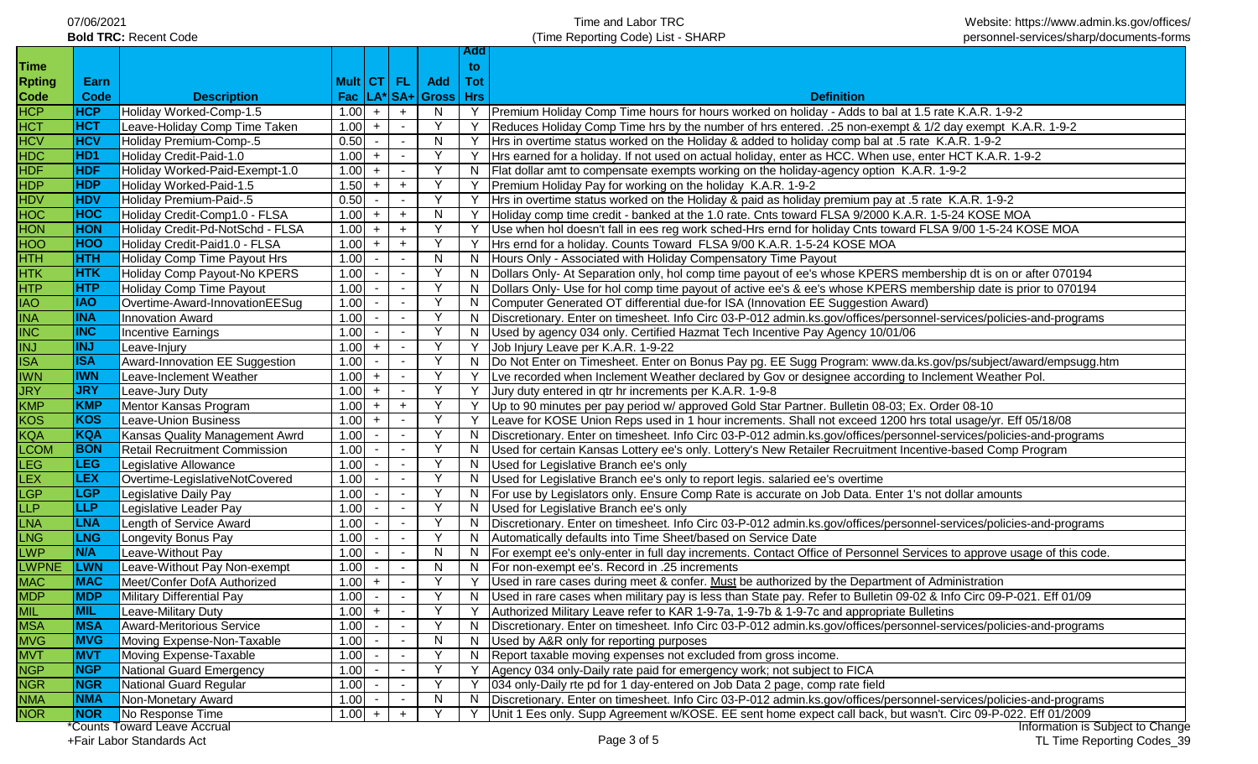| 07/06/2021                   |
|------------------------------|
| <b>Bold TRC: Recent Code</b> |

**Add** 

| <b>Time</b>   |                 |                                      |          |                          |           |                                        | to. |                                                                                                                            |
|---------------|-----------------|--------------------------------------|----------|--------------------------|-----------|----------------------------------------|-----|----------------------------------------------------------------------------------------------------------------------------|
| <b>Rpting</b> | Earn            |                                      |          |                          |           | Mult   CT   FL   Add                   | Tot |                                                                                                                            |
| Code          | <b>Code</b>     | <b>Description</b>                   |          |                          |           | $\textsf{Fac}$   LA*  SA+  Gross   Hrs |     | <b>Definition</b>                                                                                                          |
| <b>HCP</b>    | <b>HCP</b>      | Holiday Worked-Comp-1.5              | 1.00     | $+$                      | $+$       | N.                                     |     | Y   Premium Holiday Comp Time hours for hours worked on holiday - Adds to bal at 1.5 rate K.A.R. 1-9-2                     |
| <b>HCT</b>    | <b>HCT</b>      | Leave-Holiday Comp Time Taken        | 1.00     | $+$                      |           |                                        |     | Reduces Holiday Comp Time hrs by the number of hrs entered. . 25 non-exempt & 1/2 day exempt K.A.R. 1-9-2                  |
| <b>HCV</b>    | <b>HCV</b>      | Holiday Premium-Comp-.5              | 0.50     | $\sim$                   |           | N                                      |     | Hrs in overtime status worked on the Holiday & added to holiday comp bal at .5 rate K.A.R. 1-9-2                           |
| <b>HDC</b>    | HD <sub>1</sub> | Holiday Credit-Paid-1.0              | 1.00     | $+$                      |           |                                        |     | Hrs earned for a holiday. If not used on actual holiday, enter as HCC. When use, enter HCT K.A.R. 1-9-2                    |
| <b>HDF</b>    | <b>HDF</b>      | Holiday Worked-Paid-Exempt-1.0       | 1.00     | $+$                      |           |                                        |     | N   Flat dollar amt to compensate exempts working on the holiday-agency option K.A.R. 1-9-2                                |
| <b>HDP</b>    | <b>HDP</b>      | Holiday Worked-Paid-1.5              | 1.50     | $+$                      | $+$       |                                        |     | Premium Holiday Pay for working on the holiday K.A.R. 1-9-2                                                                |
| <b>HDV</b>    | <b>HDV</b>      | Holiday Premium-Paid-.5              | 0.50     | $\blacksquare$           |           |                                        |     | Hrs in overtime status worked on the Holiday & paid as holiday premium pay at .5 rate K.A.R. 1-9-2                         |
| <b>HOC</b>    | <b>HOC</b>      | Holiday Credit-Comp1.0 - FLSA        | 1.00     | $+$                      | $\ddot{}$ | N                                      |     | Holiday comp time credit - banked at the 1.0 rate. Cnts toward FLSA 9/2000 K.A.R. 1-5-24 KOSE MOA                          |
| <b>HON</b>    | <b>HON</b>      | Holiday Credit-Pd-NotSchd - FLSA     | 1.00     | $+$                      | $+$       |                                        |     | Use when hol doesn't fall in ees reg work sched-Hrs ernd for holiday Cnts toward FLSA 9/00 1-5-24 KOSE MOA                 |
| <b>HOO</b>    | <b>HOO</b>      | Holiday Credit-Paid1.0 - FLSA        | 1.00     | $+$                      | $+$       |                                        |     | Hrs ernd for a holiday. Counts Toward FLSA 9/00 K.A.R. 1-5-24 KOSE MOA                                                     |
| <b>HTH</b>    | <b>HTH</b>      | Holiday Comp Time Payout Hrs         | 1.00     | $\overline{\phantom{a}}$ |           | N                                      | N.  | Hours Only - Associated with Holiday Compensatory Time Payout                                                              |
| <b>HTK</b>    | <b>HTK</b>      | Holiday Comp Payout-No KPERS         | 1.00     |                          |           |                                        | N.  | Dollars Only- At Separation only, hol comp time payout of ee's whose KPERS membership dt is on or after 070194             |
| <b>HTP</b>    | <b>HTP</b>      | Holiday Comp Time Payout             | 1.00     |                          |           |                                        | N.  | Dollars Only- Use for hol comp time payout of active ee's & ee's whose KPERS membership date is prior to 070194            |
| <b>IAO</b>    | <b>IAO</b>      | Overtime-Award-InnovationEESug       | 1.00     |                          |           |                                        |     | N Computer Generated OT differential due-for ISA (Innovation EE Suggestion Award)                                          |
| <b>INA</b>    | <b>INA</b>      | <b>Innovation Award</b>              | 1.00     |                          |           |                                        |     | N   Discretionary. Enter on timesheet. Info Circ 03-P-012 admin.ks.gov/offices/personnel-services/policies-and-programs    |
| <b>INC</b>    | <b>INC</b>      | Incentive Earnings                   | 1.00     |                          |           | Y                                      |     | N   Used by agency 034 only. Certified Hazmat Tech Incentive Pay Agency 10/01/06                                           |
| <b>INJ</b>    | <b>INJ</b>      | Leave-Injury                         | 1.00     | $+$                      |           | Y                                      |     | Y Job Injury Leave per K.A.R. 1-9-22                                                                                       |
| <b>ISA</b>    | <b>ISA</b>      | Award-Innovation EE Suggestion       | 1.00     |                          |           | <b>V</b>                               |     | N   Do Not Enter on Timesheet. Enter on Bonus Pay pg. EE Sugg Program: www.da.ks.gov/ps/subject/award/empsugg.htm          |
| <b>IWN</b>    | <b>IWN</b>      | Leave-Inclement Weather              | $1.00 +$ |                          |           | Y                                      |     | Y Lve recorded when Inclement Weather declared by Gov or designee according to Inclement Weather Pol.                      |
| <b>JRY</b>    | <b>JRY</b>      | Leave-Jury Duty                      | $1.00 +$ |                          |           | Y                                      |     | Y Jury duty entered in qtr hr increments per K.A.R. 1-9-8                                                                  |
| <b>KMP</b>    | KMP             | Mentor Kansas Program                | $1.00 +$ |                          | $+$       | Y                                      |     | Up to 90 minutes per pay period w/ approved Gold Star Partner. Bulletin 08-03; Ex. Order 08-10                             |
| <b>KOS</b>    | KOS             | Leave-Union Business                 | 1.00     | $+$                      |           | Y                                      |     | Y Leave for KOSE Union Reps used in 1 hour increments. Shall not exceed 1200 hrs total usage/yr. Eff 05/18/08              |
| <b>KQA</b>    | KQA             | Kansas Quality Management Awrd       | 1.00     | $\sim$                   |           |                                        |     | N   Discretionary. Enter on timesheet. Info Circ 03-P-012 admin.ks.gov/offices/personnel-services/policies-and-programs    |
| <b>LCOM</b>   | <b>BON</b>      | <b>Retail Recruitment Commission</b> | 1.00     |                          |           |                                        |     | N  Used for certain Kansas Lottery ee's only. Lottery's New Retailer Recruitment Incentive-based Comp Program              |
| <b>LEG</b>    | <b>LEG</b>      | Legislative Allowance                | 1.00     |                          |           |                                        |     | N   Used for Legislative Branch ee's only                                                                                  |
| <b>LEX</b>    | <b>LEX</b>      | Overtime-LegislativeNotCovered       | 1.00     |                          |           |                                        |     | N   Used for Legislative Branch ee's only to report legis. salaried ee's overtime                                          |
| <b>LGP</b>    | <b>LGP</b>      | Legislative Daily Pay                | 1.00     |                          |           |                                        |     | N   For use by Legislators only. Ensure Comp Rate is accurate on Job Data. Enter 1's not dollar amounts                    |
| <b>LLP</b>    | <b>LLP</b>      | Legislative Leader Pay               | 1.00     |                          |           |                                        |     | N   Used for Legislative Branch ee's only                                                                                  |
| <b>LNA</b>    | <b>LNA</b>      | Length of Service Award              | 1.00     |                          |           |                                        |     | N   Discretionary. Enter on timesheet. Info Circ 03-P-012 admin.ks.gov/offices/personnel-services/policies-and-programs    |
| <b>LNG</b>    | <b>LNG</b>      | Longevity Bonus Pay                  | 1.00     |                          |           |                                        |     | N   Automatically defaults into Time Sheet/based on Service Date                                                           |
| <b>LWP</b>    | <b>N/A</b>      | Leave-Without Pay                    | 1.00     |                          |           | N                                      |     | N   For exempt ee's only-enter in full day increments. Contact Office of Personnel Services to approve usage of this code. |
| <b>LWPNE</b>  | <b>LWN</b>      | Leave-Without Pay Non-exempt         | 1.00     | $\overline{\phantom{a}}$ |           | N                                      |     | N   For non-exempt ee's. Record in .25 increments                                                                          |
| <b>MAC</b>    | <b>MAC</b>      | Meet/Confer DofA Authorized          | 1.00     | $+$                      |           |                                        |     | Used in rare cases during meet & confer. Must be authorized by the Department of Administration                            |
| <b>MDP</b>    | <b>MDP</b>      | Military Differential Pay            | 1.00     |                          |           |                                        |     | N   Used in rare cases when military pay is less than State pay. Refer to Bulletin 09-02 & Info Circ 09-P-021. Eff 01/09   |
| <b>MIL</b>    | <b>MIL</b>      | Leave-Military Duty                  | 1.00     | $+$                      | $\sim$    | Y                                      |     | Y   Authorized Military Leave refer to KAR 1-9-7a, 1-9-7b & 1-9-7c and appropriate Bulletins                               |
| <b>MSA</b>    | <b>MSA</b>      | <b>Award-Meritorious Service</b>     | 1.00     | $\sim$                   |           |                                        |     | N   Discretionary. Enter on timesheet. Info Circ 03-P-012 admin.ks.gov/offices/personnel-services/policies-and-programs    |
| <b>MVG</b>    | <b>MVG</b>      | Moving Expense-Non-Taxable           | 1.00     |                          |           | N                                      | N.  | Used by A&R only for reporting purposes                                                                                    |
| <b>MVT</b>    | <b>MVT</b>      | Moving Expense-Taxable               | 1.00     |                          |           |                                        | N.  | Report taxable moving expenses not excluded from gross income.                                                             |
| <b>NGP</b>    | <b>NGP</b>      | <b>National Guard Emergency</b>      | 1.00     |                          |           |                                        |     | Agency 034 only-Daily rate paid for emergency work; not subject to FICA                                                    |
| <b>NGR</b>    | <b>NGR</b>      | National Guard Regular               | 1.00     |                          |           |                                        |     | 034 only-Daily rte pd for 1 day-entered on Job Data 2 page, comp rate field                                                |
| <b>NMA</b>    | <b>NMA</b>      | Non-Monetary Award                   | 1.00     |                          |           | N                                      |     | N   Discretionary. Enter on timesheet. Info Circ 03-P-012 admin.ks.gov/offices/personnel-services/policies-and-programs    |
| <b>NOR</b>    | <b>NOR</b>      | No Response Time                     | 1.00     | $+$                      |           |                                        |     | Y   Unit 1 Ees only. Supp Agreement w/KOSE. EE sent home expect call back, but wasn't. Circ 09-P-022. Eff 01/2009          |
|               |                 | *Counts Toward Leave Accrual         |          |                          |           |                                        |     | Information is Subject to Change                                                                                           |

+Fair Labor Standards Act Page 3 of 5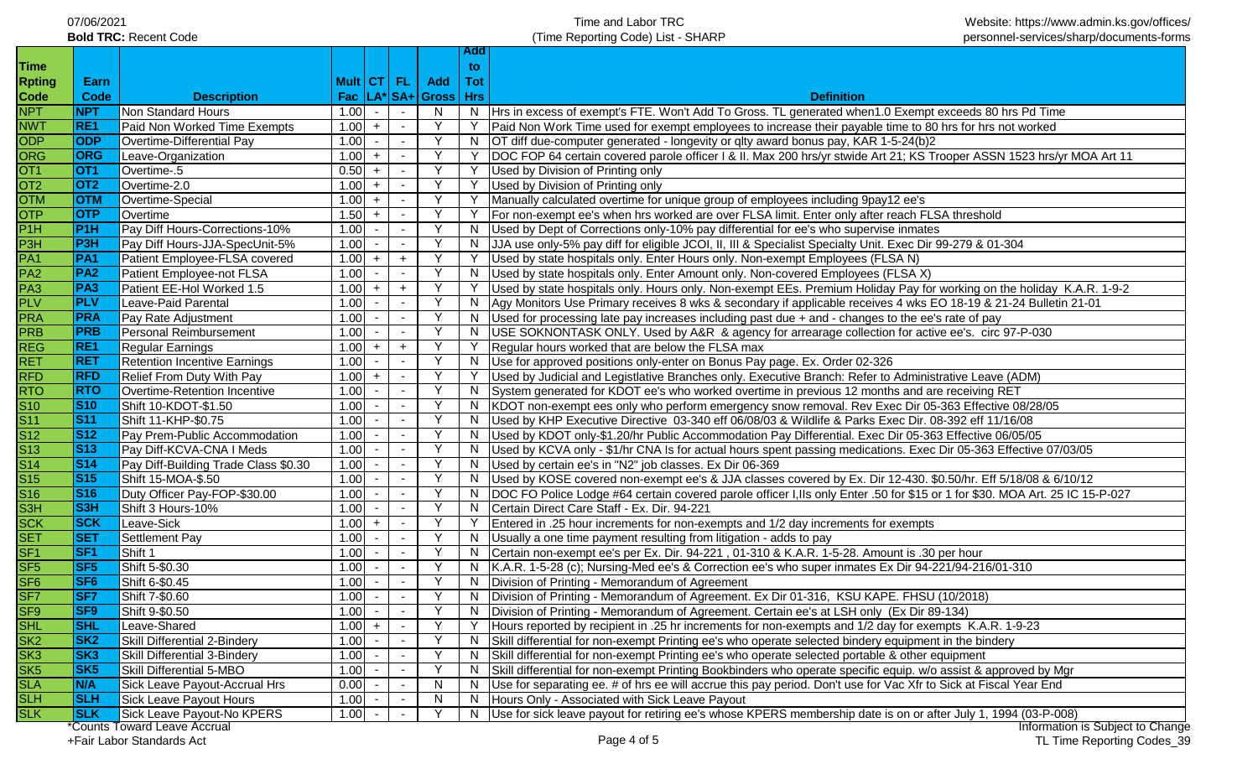| 07/06/2021                   |  |
|------------------------------|--|
| <b>Bold TRC: Recent Code</b> |  |

**Add** 

| <b>Time</b>               |                          |                                      |            |     |                          |                               | to. |                                                                                                                              |
|---------------------------|--------------------------|--------------------------------------|------------|-----|--------------------------|-------------------------------|-----|------------------------------------------------------------------------------------------------------------------------------|
| <b>Rpting</b>             | Earn                     |                                      | Mult CT FL |     |                          | Add                           | Tot |                                                                                                                              |
| Code                      | Code                     | <b>Description</b>                   |            |     |                          | Fac   LA*   SA+   Gross   Hrs |     | <b>Definition</b>                                                                                                            |
| <b>NPT</b>                | <b>NPT</b>               | Non Standard Hours                   | 1.00       |     |                          | N                             |     | N  Hrs in excess of exempt's FTE. Won't Add To Gross. TL generated when 1.0 Exempt exceeds 80 hrs Pd Time                    |
| <b>NWT</b>                | RE1                      | Paid Non Worked Time Exempts         | 1.00       | $+$ |                          | <b>V</b>                      | Y   | Paid Non Work Time used for exempt employees to increase their payable time to 80 hrs for hrs not worked                     |
| <b>ODP</b>                | <b>ODP</b>               | Overtime-Differential Pay            | 1.00       |     |                          | <b>Y</b>                      | N   | OT diff due-computer generated - longevity or qlty award bonus pay, KAR 1-5-24(b)2                                           |
| ORG                       | <b>ORG</b>               | Leave-Organization                   | 1.00       | $+$ |                          | Y                             |     | DOC FOP 64 certain covered parole officer I & II. Max 200 hrs/yr stwide Art 21; KS Trooper ASSN 1523 hrs/yr MOA Art 11       |
| OT <sub>1</sub>           | OT <sub>1</sub>          | Overtime-.5                          | 0.50       | $+$ | $\sim$                   | Y                             | Y   | Used by Division of Printing only                                                                                            |
| OT2                       | OT <sub>2</sub>          | Overtime-2.0                         | 1.00       | $+$ | $\sim$                   | Y                             | Y   | Used by Division of Printing only                                                                                            |
| <b>OTM</b>                | <b>OTM</b>               | Overtime-Special                     | 1.00       | $+$ | $\sim$                   | Y                             | Y   | Manually calculated overtime for unique group of employees including 9pay12 ee's                                             |
| <b>OTP</b>                | <b>OTP</b>               | Overtime                             | 1.50       | $+$ | $\overline{\phantom{a}}$ |                               | Y   | For non-exempt ee's when hrs worked are over FLSA limit. Enter only after reach FLSA threshold                               |
| P1H                       | P <sub>1</sub> H         | Pay Diff Hours-Corrections-10%       | 1.00       |     | $\overline{\phantom{a}}$ |                               | N.  | Used by Dept of Corrections only-10% pay differential for ee's who supervise inmates                                         |
| P <sub>3</sub> H          | <b>P3H</b>               | Pay Diff Hours-JJA-SpecUnit-5%       | 1.00       |     | $\overline{\phantom{a}}$ |                               | N.  | JJA use only-5% pay diff for eligible JCOI, II, III & Specialist Specialty Unit. Exec Dir 99-279 & 01-304                    |
| PA <sub>1</sub>           | PA <sub>1</sub>          | Patient Employee-FLSA covered        | 1.00       | $+$ | $+$                      |                               |     | Used by state hospitals only. Enter Hours only. Non-exempt Employees (FLSA N)                                                |
| PA <sub>2</sub>           | PA <sub>2</sub>          | Patient Employee-not FLSA            | 1.00       |     | $\overline{\phantom{a}}$ |                               | N.  | Used by state hospitals only. Enter Amount only. Non-covered Employees (FLSA X)                                              |
| PA <sub>3</sub>           | PA <sub>3</sub>          | Patient EE-Hol Worked 1.5            | 1.00       | $+$ | $+$                      |                               |     | Used by state hospitals only. Hours only. Non-exempt EEs. Premium Holiday Pay for working on the holiday K.A.R. 1-9-2        |
| <b>PLV</b>                | <b>PLV</b>               | Leave-Paid Parental                  | 1.00       |     | $\blacksquare$           |                               | N.  | Agy Monitors Use Primary receives 8 wks & secondary if applicable receives 4 wks EO 18-19 & 21-24 Bulletin 21-01             |
| <b>PRA</b>                | <b>PRA</b>               | Pay Rate Adjustment                  | 1.00       |     | $\overline{\phantom{a}}$ |                               | N.  | Used for processing late pay increases including past due + and - changes to the ee's rate of pay                            |
| <b>PRB</b>                | <b>PRB</b>               | Personal Reimbursement               | 1.00       |     |                          |                               | N.  | USE SOKNONTASK ONLY. Used by A&R & agency for arrearage collection for active ee's. circ 97-P-030                            |
| <b>REG</b>                | RE <sub>1</sub>          | <b>Regular Earnings</b>              | 1.00       | $+$ | $+$                      |                               |     | Regular hours worked that are below the FLSA max                                                                             |
| <b>RET</b>                | <b>RET</b>               | <b>Retention Incentive Earnings</b>  | 1.00       |     |                          |                               | N.  | Use for approved positions only-enter on Bonus Pay page. Ex. Order 02-326                                                    |
| <b>RFD</b>                | <b>RFD</b>               | Relief From Duty With Pay            | 1.00       | $+$ |                          |                               |     | Used by Judicial and Legistlative Branches only. Executive Branch: Refer to Administrative Leave (ADM)                       |
| <b>RTO</b>                | <b>RTO</b>               | Overtime-Retention Incentive         | 1.00       |     | $\sim$                   |                               | N   | System generated for KDOT ee's who worked overtime in previous 12 months and are receiving RET                               |
| $\overline{\mathsf{S}10}$ | <b>S10</b>               | Shift 10-KDOT-\$1.50                 | 1.00       |     |                          |                               | N   | KDOT non-exempt ees only who perform emergency snow removal. Rev Exec Dir 05-363 Effective 08/28/05                          |
| $\overline{\text{S}11}$   | $\overline{\text{S}}$ 11 | Shift 11-KHP-\$0.75                  | 1.00       |     | $\sim$                   |                               | N   | Used by KHP Executive Directive 03-340 eff 06/08/03 & Wildlife & Parks Exec Dir. 08-392 eff 11/16/08                         |
| $\overline{\text{S}12}$   | <b>S12</b>               | Pay Prem-Public Accommodation        | 1.00       |     |                          |                               | N.  | Used by KDOT only-\$1.20/hr Public Accommodation Pay Differential. Exec Dir 05-363 Effective 06/05/05                        |
| $\overline{\text{S}13}$   | <b>S13</b>               | Pay Diff-KCVA-CNA I Meds             | 1.00       |     |                          |                               | N.  | Used by KCVA only - \$1/hr CNA Is for actual hours spent passing medications. Exec Dir 05-363 Effective 07/03/05             |
| $\overline{S14}$          | <b>S14</b>               | Pay Diff-Building Trade Class \$0.30 | 1.00       |     |                          |                               | N.  | Used by certain ee's in "N2" job classes. Ex Dir 06-369                                                                      |
| $\overline{\text{S}15}$   | <b>S15</b>               | Shift 15-MOA-\$.50                   | 1.00       |     |                          | Y.                            |     | N  Used by KOSE covered non-exempt ee's & JJA classes covered by Ex. Dir 12-430. \$0.50/hr. Eff 5/18/08 & 6/10/12            |
| S <sub>16</sub>           | <b>S16</b>               | Duty Officer Pay-FOP-\$30.00         | 1.00       |     | $\sim$                   | <sup>V</sup>                  | N.  | DOC FO Police Lodge #64 certain covered parole officer I, IIs only Enter .50 for \$15 or 1 for \$30. MOA Art. 25 IC 15-P-027 |
| S3H                       | S <sub>3H</sub>          | Shift 3 Hours-10%                    | 1.00       |     |                          | <sup>V</sup>                  | N.  | Certain Direct Care Staff - Ex. Dir. 94-221                                                                                  |
| <b>SCK</b>                | <b>SCK</b>               | Leave-Sick                           | 1.00       | $+$ | $\sim$                   | Y                             | Y   | Entered in .25 hour increments for non-exempts and 1/2 day increments for exempts                                            |
| <b>SET</b>                | <b>SET</b>               | Settlement Pay                       | 1.00       |     | $\sim$                   | $\mathsf{Y}$                  | N.  | Usually a one time payment resulting from litigation - adds to pay                                                           |
| SF <sub>1</sub>           | SF <sub>1</sub>          | Shift 1                              | 1.00       |     | $\sim$                   | $\mathsf{Y}$                  |     | N Certain non-exempt ee's per Ex. Dir. 94-221, 01-310 & K.A.R. 1-5-28. Amount is .30 per hour                                |
| SF <sub>5</sub>           | SF <sub>5</sub>          | Shift 5-\$0.30                       | 1.00       |     | $\sim$                   | Y                             |     | N   K.A.R. 1-5-28 (c); Nursing-Med ee's & Correction ee's who super inmates Ex Dir 94-221/94-216/01-310                      |
| SF <sub>6</sub>           | <b>SF6</b>               | Shift 6-\$0.45                       | 1.00       |     | $\sim$                   | Y                             |     | N   Division of Printing - Memorandum of Agreement                                                                           |
| SF7                       | <b>SF7</b>               | Shift 7-\$0.60                       | 1.00       |     | $\sim$                   | Y                             |     | N   Division of Printing - Memorandum of Agreement. Ex Dir 01-316, KSU KAPE. FHSU (10/2018)                                  |
| SF9                       | SF9                      | Shift 9-\$0.50                       | 1.00       |     | $\sim$                   | Y                             |     | N   Division of Printing - Memorandum of Agreement. Certain ee's at LSH only (Ex Dir 89-134)                                 |
| <b>SHL</b>                | <b>SHL</b>               | Leave-Shared                         | 1.00       | $+$ |                          |                               |     | Hours reported by recipient in .25 hr increments for non-exempts and 1/2 day for exempts K.A.R. 1-9-23                       |
| SK2                       | <b>SK2</b>               | Skill Differential 2-Bindery         | 1.00       |     |                          |                               | N.  | Skill differential for non-exempt Printing ee's who operate selected bindery equipment in the bindery                        |
| SK <sub>3</sub>           | SK <sub>3</sub>          | Skill Differential 3-Bindery         | 1.00       |     |                          |                               | N.  | Skill differential for non-exempt Printing ee's who operate selected portable & other equipment                              |
| SK <sub>5</sub>           | SK <sub>5</sub>          | Skill Differential 5-MBO             | 1.00       |     |                          |                               | N.  | Skill differential for non-exempt Printing Bookbinders who operate specific equip. w/o assist & approved by Mgr              |
| <b>SLA</b>                | N/A                      | Sick Leave Payout-Accrual Hrs        | 0.00       |     |                          | N                             |     | Use for separating ee. # of hrs ee will accrue this pay period. Don't use for Vac Xfr to Sick at Fiscal Year End             |
| <b>SLH</b>                | <b>SLH</b>               | Sick Leave Payout Hours              | 1.00       |     |                          | N                             | N.  | Hours Only - Associated with Sick Leave Payout                                                                               |
| <b>SLK</b>                | <b>SLK</b>               | Sick Leave Payout-No KPERS           | 1.00       |     |                          |                               | N.  | Use for sick leave payout for retiring ee's whose KPERS membership date is on or after July 1, 1994 (03-P-008)               |
|                           |                          | Counts Toward Leave Accrual          |            |     |                          |                               |     | Information is Subject to Change                                                                                             |

+Fair Labor Standards Act Page 4 of 5